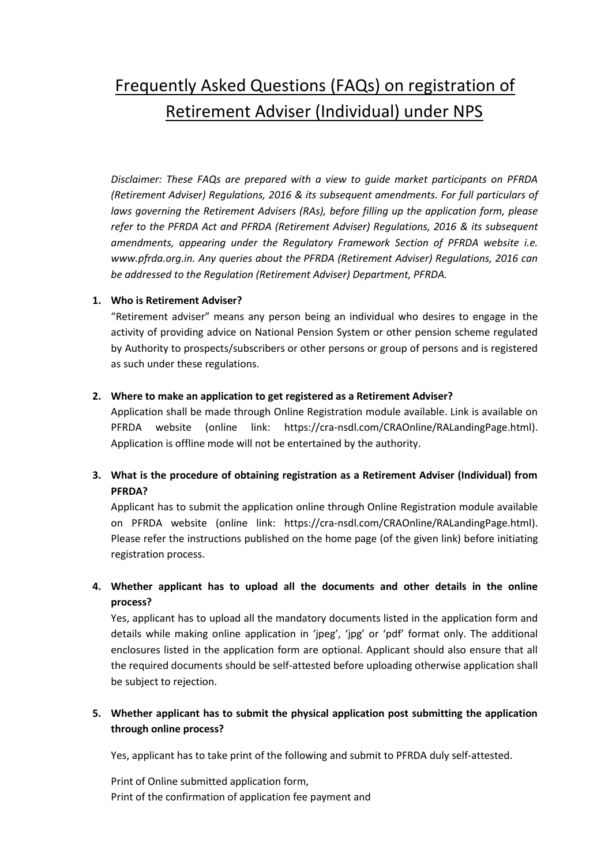# Frequently Asked Questions (FAQs) on registration of Retirement Adviser (Individual) under NPS

*Disclaimer: These FAQs are prepared with a view to guide market participants on PFRDA (Retirement Adviser) Regulations, 2016 & its subsequent amendments. For full particulars of laws governing the Retirement Advisers (RAs), before filling up the application form, please refer to the PFRDA Act and PFRDA (Retirement Adviser) Regulations, 2016 & its subsequent amendments, appearing under the Regulatory Framework Section of PFRDA website i.e. www.pfrda.org.in. Any queries about the PFRDA (Retirement Adviser) Regulations, 2016 can be addressed to the Regulation (Retirement Adviser) Department, PFRDA.* 

## **1. Who is Retirement Adviser?**

"Retirement adviser" means any person being an individual who desires to engage in the activity of providing advice on National Pension System or other pension scheme regulated by Authority to prospects/subscribers or other persons or group of persons and is registered as such under these regulations.

## **2. Where to make an application to get registered as a Retirement Adviser?**

Application shall be made through Online Registration module available. Link is available on PFRDA website (online link: [https://cra-nsdl.com/CRAOnline/RALandingPage.html\)](https://cra-nsdl.com/CRAOnline/RALandingPage.html). Application is offline mode will not be entertained by the authority.

# **3. What is the procedure of obtaining registration as a Retirement Adviser (Individual) from PFRDA?**

Applicant has to submit the application online through Online Registration module available on PFRDA website (online link: [https://cra-nsdl.com/CRAOnline/RALandingPage.html\)](https://cra-nsdl.com/CRAOnline/RALandingPage.html). Please refer the instructions published on the home page (of the given link) before initiating registration process.

# **4. Whether applicant has to upload all the documents and other details in the online process?**

Yes, applicant has to upload all the mandatory documents listed in the application form and details while making online application in 'jpeg', 'jpg' or 'pdf' format only. The additional enclosures listed in the application form are optional. Applicant should also ensure that all the required documents should be self-attested before uploading otherwise application shall be subject to rejection.

# **5. Whether applicant has to submit the physical application post submitting the application through online process?**

Yes, applicant has to take print of the following and submit to PFRDA duly self-attested.

Print of Online submitted application form, Print of the confirmation of application fee payment and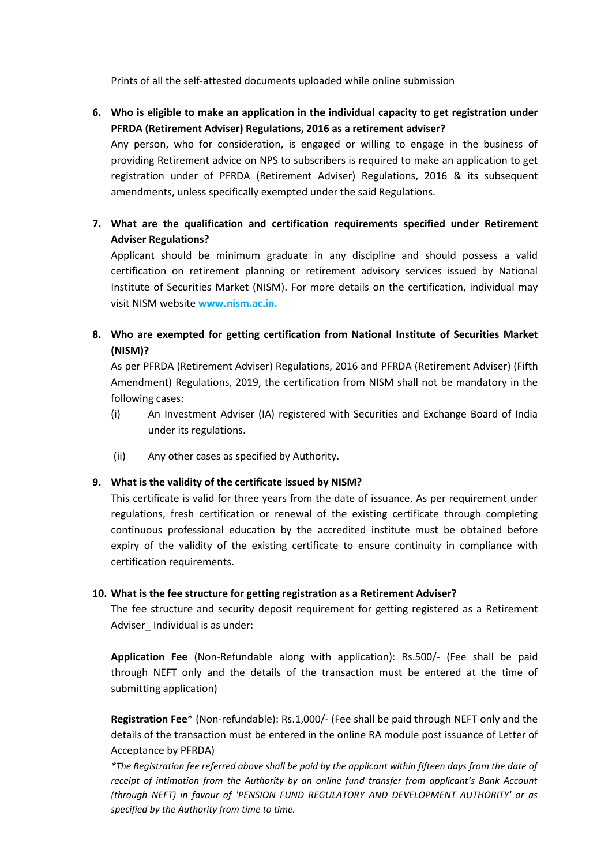Prints of all the self-attested documents uploaded while online submission

**6. Who is eligible to make an application in the individual capacity to get registration under PFRDA (Retirement Adviser) Regulations, 2016 as a retirement adviser?** 

Any person, who for consideration, is engaged or willing to engage in the business of providing Retirement advice on NPS to subscribers is required to make an application to get registration under of PFRDA (Retirement Adviser) Regulations, 2016 & its subsequent amendments, unless specifically exempted under the said Regulations.

**7. What are the qualification and certification requirements specified under Retirement Adviser Regulations?** 

Applicant should be minimum graduate in any discipline and should possess a valid certification on retirement planning or retirement advisory services issued by National Institute of Securities Market (NISM). For more details on the certification, individual may visit NISM website **www.nism.ac.in.**

**8. Who are exempted for getting certification from National Institute of Securities Market (NISM)?** 

As per PFRDA (Retirement Adviser) Regulations, 2016 and PFRDA (Retirement Adviser) (Fifth Amendment) Regulations, 2019, the certification from NISM shall not be mandatory in the following cases:

- (i) An Investment Adviser (IA) registered with Securities and Exchange Board of India under its regulations.
- (ii) Any other cases as specified by Authority.

## **9. What is the validity of the certificate issued by NISM?**

This certificate is valid for three years from the date of issuance. As per requirement under regulations, fresh certification or renewal of the existing certificate through completing continuous professional education by the accredited institute must be obtained before expiry of the validity of the existing certificate to ensure continuity in compliance with certification requirements.

## **10. What is the fee structure for getting registration as a Retirement Adviser?**

The fee structure and security deposit requirement for getting registered as a Retirement Adviser Individual is as under:

**Application Fee** (Non-Refundable along with application): Rs.500/- (Fee shall be paid through NEFT only and the details of the transaction must be entered at the time of submitting application)

**Registration Fee**\* (Non-refundable): Rs.1,000/- (Fee shall be paid through NEFT only and the details of the transaction must be entered in the online RA module post issuance of Letter of Acceptance by PFRDA)

*\*The Registration fee referred above shall be paid by the applicant within fifteen days from the date of receipt of intimation from the Authority by an online fund transfer from applicant's Bank Account (through NEFT) in favour of 'PENSION FUND REGULATORY AND DEVELOPMENT AUTHORITY' or as specified by the Authority from time to time.*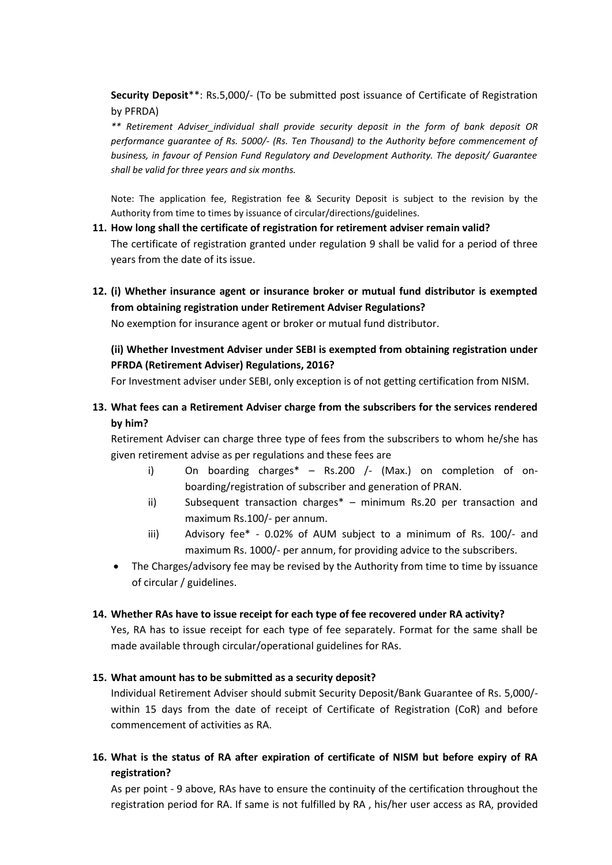**Security Deposit**\*\*: Rs.5,000/- (To be submitted post issuance of Certificate of Registration by PFRDA)

*\*\* Retirement Adviser\_individual shall provide security deposit in the form of bank deposit OR performance guarantee of Rs. 5000/- (Rs. Ten Thousand) to the Authority before commencement of business, in favour of Pension Fund Regulatory and Development Authority. The deposit/ Guarantee shall be valid for three years and six months.*

Note: The application fee, Registration fee & Security Deposit is subject to the revision by the Authority from time to times by issuance of circular/directions/guidelines.

#### **11. How long shall the certificate of registration for retirement adviser remain valid?**

The certificate of registration granted under regulation 9 shall be valid for a period of three years from the date of its issue.

**12. (i) Whether insurance agent or insurance broker or mutual fund distributor is exempted from obtaining registration under Retirement Adviser Regulations?** 

No exemption for insurance agent or broker or mutual fund distributor.

# **(ii) Whether Investment Adviser under SEBI is exempted from obtaining registration under PFRDA (Retirement Adviser) Regulations, 2016?**

For Investment adviser under SEBI, only exception is of not getting certification from NISM.

**13. What fees can a Retirement Adviser charge from the subscribers for the services rendered by him?** 

Retirement Adviser can charge three type of fees from the subscribers to whom he/she has given retirement advise as per regulations and these fees are

- i) On boarding charges<sup>\*</sup> Rs.200 /- (Max.) on completion of onboarding/registration of subscriber and generation of PRAN.
- ii) Subsequent transaction charges\* minimum Rs.20 per transaction and maximum Rs.100/- per annum.
- iii) Advisory fee\* 0.02% of AUM subject to a minimum of Rs. 100/- and maximum Rs. 1000/- per annum, for providing advice to the subscribers.
- The Charges/advisory fee may be revised by the Authority from time to time by issuance of circular / guidelines.

## **14. Whether RAs have to issue receipt for each type of fee recovered under RA activity?**

Yes, RA has to issue receipt for each type of fee separately. Format for the same shall be made available through circular/operational guidelines for RAs.

## **15. What amount has to be submitted as a security deposit?**

Individual Retirement Adviser should submit Security Deposit/Bank Guarantee of Rs. 5,000/ within 15 days from the date of receipt of Certificate of Registration (CoR) and before commencement of activities as RA.

**16. What is the status of RA after expiration of certificate of NISM but before expiry of RA registration?** 

As per point - 9 above, RAs have to ensure the continuity of the certification throughout the registration period for RA. If same is not fulfilled by RA , his/her user access as RA, provided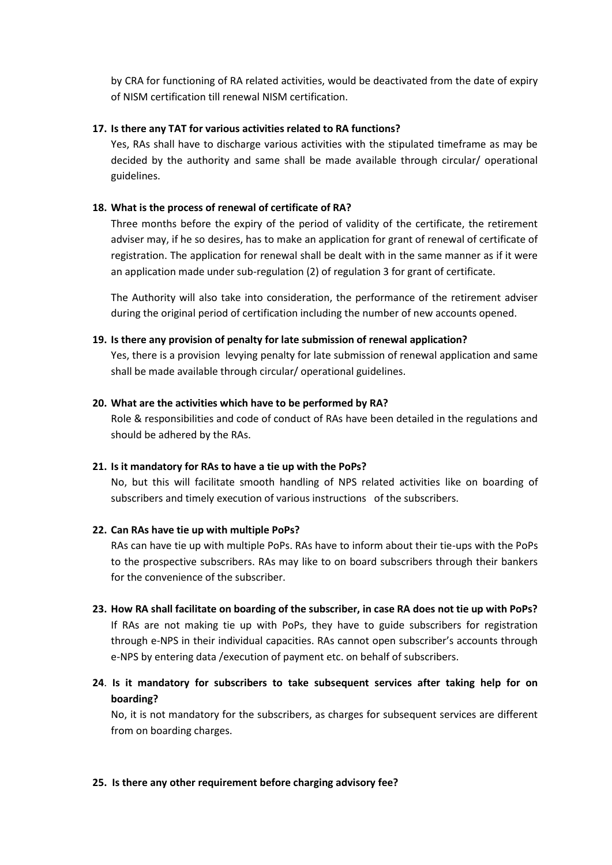by CRA for functioning of RA related activities, would be deactivated from the date of expiry of NISM certification till renewal NISM certification.

#### **17. Is there any TAT for various activities related to RA functions?**

Yes, RAs shall have to discharge various activities with the stipulated timeframe as may be decided by the authority and same shall be made available through circular/ operational guidelines.

### **18. What is the process of renewal of certificate of RA?**

Three months before the expiry of the period of validity of the certificate, the retirement adviser may, if he so desires, has to make an application for grant of renewal of certificate of registration. The application for renewal shall be dealt with in the same manner as if it were an application made under sub-regulation (2) of regulation 3 for grant of certificate.

The Authority will also take into consideration, the performance of the retirement adviser during the original period of certification including the number of new accounts opened.

#### **19. Is there any provision of penalty for late submission of renewal application?**

Yes, there is a provision levying penalty for late submission of renewal application and same shall be made available through circular/ operational guidelines.

#### **20. What are the activities which have to be performed by RA?**

Role & responsibilities and code of conduct of RAs have been detailed in the regulations and should be adhered by the RAs.

#### **21. Is it mandatory for RAs to have a tie up with the PoPs?**

No, but this will facilitate smooth handling of NPS related activities like on boarding of subscribers and timely execution of various instructions of the subscribers.

#### **22. Can RAs have tie up with multiple PoPs?**

RAs can have tie up with multiple PoPs. RAs have to inform about their tie-ups with the PoPs to the prospective subscribers. RAs may like to on board subscribers through their bankers for the convenience of the subscriber.

**23. How RA shall facilitate on boarding of the subscriber, in case RA does not tie up with PoPs?** If RAs are not making tie up with PoPs, they have to guide subscribers for registration through e-NPS in their individual capacities. RAs cannot open subscriber's accounts through e-NPS by entering data /execution of payment etc. on behalf of subscribers.

# **24**. **Is it mandatory for subscribers to take subsequent services after taking help for on boarding?**

No, it is not mandatory for the subscribers, as charges for subsequent services are different from on boarding charges.

#### **25. Is there any other requirement before charging advisory fee?**